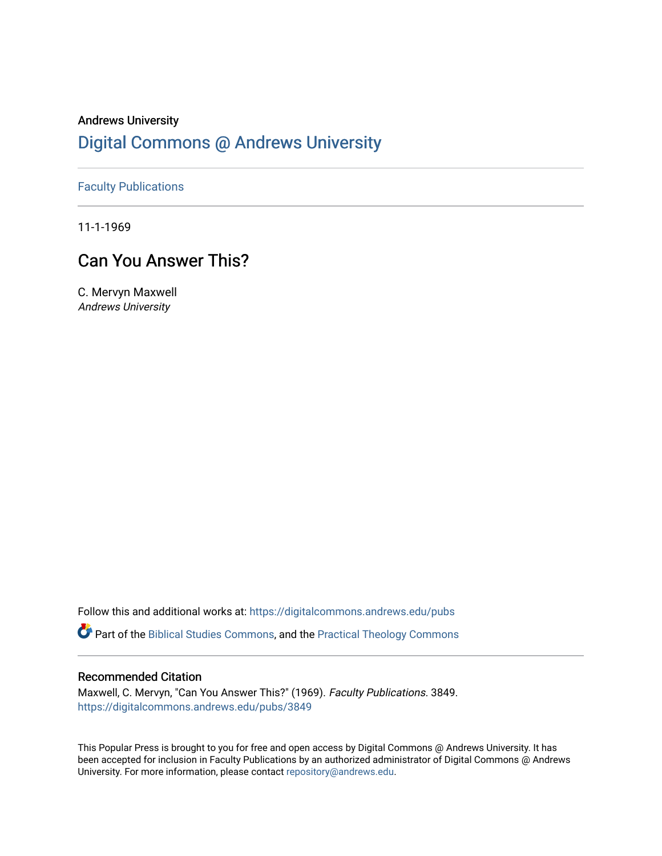# Andrews University [Digital Commons @ Andrews University](https://digitalcommons.andrews.edu/)

## [Faculty Publications](https://digitalcommons.andrews.edu/pubs)

11-1-1969

## Can You Answer This?

C. Mervyn Maxwell Andrews University

Follow this and additional works at: [https://digitalcommons.andrews.edu/pubs](https://digitalcommons.andrews.edu/pubs?utm_source=digitalcommons.andrews.edu%2Fpubs%2F3849&utm_medium=PDF&utm_campaign=PDFCoverPages) 

Part of the [Biblical Studies Commons,](http://network.bepress.com/hgg/discipline/539?utm_source=digitalcommons.andrews.edu%2Fpubs%2F3849&utm_medium=PDF&utm_campaign=PDFCoverPages) and the [Practical Theology Commons](http://network.bepress.com/hgg/discipline/1186?utm_source=digitalcommons.andrews.edu%2Fpubs%2F3849&utm_medium=PDF&utm_campaign=PDFCoverPages) 

### Recommended Citation

Maxwell, C. Mervyn, "Can You Answer This?" (1969). Faculty Publications. 3849. [https://digitalcommons.andrews.edu/pubs/3849](https://digitalcommons.andrews.edu/pubs/3849?utm_source=digitalcommons.andrews.edu%2Fpubs%2F3849&utm_medium=PDF&utm_campaign=PDFCoverPages) 

This Popular Press is brought to you for free and open access by Digital Commons @ Andrews University. It has been accepted for inclusion in Faculty Publications by an authorized administrator of Digital Commons @ Andrews University. For more information, please contact [repository@andrews.edu](mailto:repository@andrews.edu).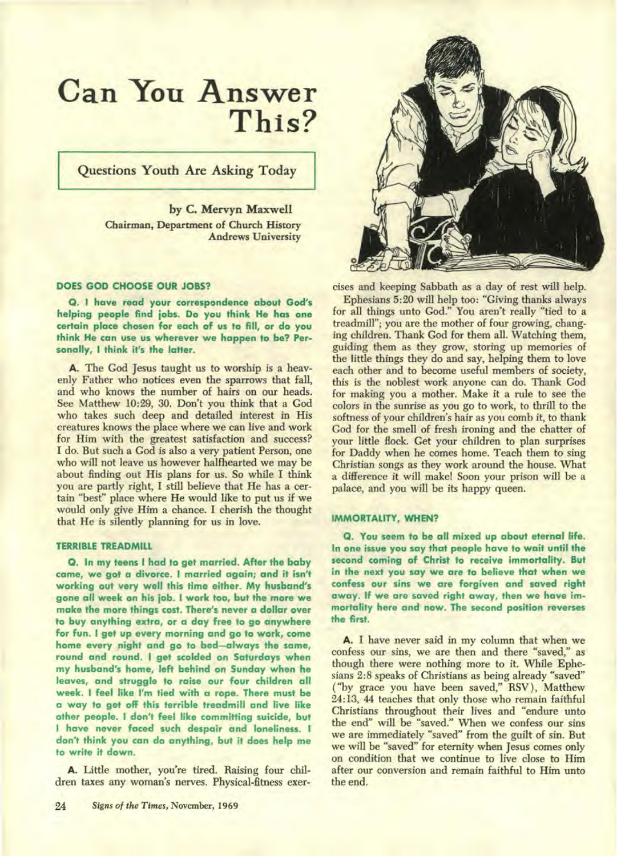# **Can You Answer This?**

**Questions Youth Are Asking Today** 

**by C. Mervyn Maxwell Chairman, Department of Church History Andrews University** 

#### **DOES GOD CHOOSE OUR JOBS?**

**Q. I have read your correspondence about God's helping people find jobs. Do you think He has one certain place chosen for each of us to fill, or do you think He can use us wherever we happen to be? Personally, I think it's the latter.** 

**A. The God Jesus taught us to worship is a heavenly Father who notices even the sparrows that fall, and who knows the number of hairs on our heads. See Matthew 10:29, 30. Don't you think that a God who takes such deep and detailed interest in His creatures knows the place where we can live and work for Him with the greatest satisfaction and success? I do. But such a God is also a very patient Person, one who will not leave us however halfhearted we may be about finding out His plans for us. So while I think you are partly right, I still believe that He has a certain "best" place where He would like to put us if we would only give Him a chance. I cherish the thought that He is silently planning for us in love.** 

#### **TERRIBLE TREADMILL**

**O. In my teens I had to get married. After the baby came, we got a divorce. I married again; and it isn't working out very well this time either. My husband's gone all week on his job. I work too, but the more we make the more things cost. There's never a dollar over to buy anything extra, or a day free to go anywhere for fun. I get up every morning and go to work, come home every night and go to bed—always the same, round and round. I get scolded on Saturdays when my husband's home, left behind on Sunday when he leaves, and struggle to raise our four children all week. I feel like I'm tied with a rope. There must be a way to get off this terrible treadmill and live like other people. I don't feel like committing suicide, but I have never faced such despair and loneliness. I don't think you can do anything, but it does help me to write it down.** 

**A. Little mother, you're tired. Raising four children taxes any woman's nerves. Physical-fitness exer-**



**cises and keeping Sabbath as a day of rest will help.** 

**Ephesians 5:20 will help too: "Giving thanks always for all things unto God." You aren't really "tied to a treadmill"; you are the mother of four growing, changing children. Thank God for them all. Watching them, guiding them as they grow, storing up memories of the little things they do and say, helping them to love each other and to become useful members of society, this is the noblest work anyone can do. Thank God for making you a mother. Make it a rule to see the colors in the sunrise as you go to work, to thrill to the softness of your children's hair as you comb it, to thank God for the smell of fresh ironing and the chatter of your little flock. Get your children to plan surprises for Daddy when he comes home. Teach them to sing Christian songs as they work around the house. What a difference it will make! Soon your prison will be a palace, and you will be its happy queen.** 

#### **IMMORTALITY, WHEN?**

**Q. You seem to be all mixed up about eternal life. In one issue you say that people have to wait until the second coming of Christ to receive immortality. But in the next you say we are to believe that when we confess our sins we are forgiven and saved right away. If we are saved right away, then we have immortality here and now. The second position reverses the first.** 

**A. I have never said in my column that when we confess our sins, we are then and there "saved," as though there were nothing more to it. While Ephesians 2:8 speaks of Christians as being already "saved" ("by grace you have been saved," RSV ), Matthew 24:13, 44 teaches that only those who remain faithful Christians throughout their lives and "endure unto the end" will be "saved." When we confess our sins we are immediately "saved" from the guilt of sin. But we will be "saved" for eternity when Jesus comes only on condition that we continue to live close to Him after our conversion and remain faithful to Him unto the end.**